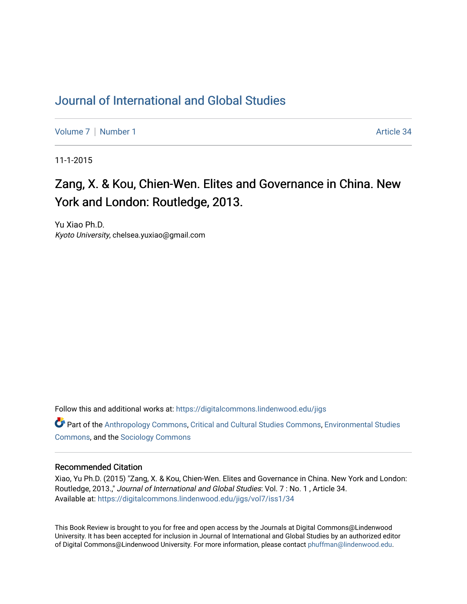## [Journal of International and Global Studies](https://digitalcommons.lindenwood.edu/jigs)

[Volume 7](https://digitalcommons.lindenwood.edu/jigs/vol7) | [Number 1](https://digitalcommons.lindenwood.edu/jigs/vol7/iss1) Article 34

11-1-2015

## Zang, X. & Kou, Chien-Wen. Elites and Governance in China. New York and London: Routledge, 2013.

Yu Xiao Ph.D. Kyoto University, chelsea.yuxiao@gmail.com

Follow this and additional works at: [https://digitalcommons.lindenwood.edu/jigs](https://digitalcommons.lindenwood.edu/jigs?utm_source=digitalcommons.lindenwood.edu%2Fjigs%2Fvol7%2Fiss1%2F34&utm_medium=PDF&utm_campaign=PDFCoverPages) 

**C** Part of the [Anthropology Commons](http://network.bepress.com/hgg/discipline/318?utm_source=digitalcommons.lindenwood.edu%2Fjigs%2Fvol7%2Fiss1%2F34&utm_medium=PDF&utm_campaign=PDFCoverPages), [Critical and Cultural Studies Commons](http://network.bepress.com/hgg/discipline/328?utm_source=digitalcommons.lindenwood.edu%2Fjigs%2Fvol7%2Fiss1%2F34&utm_medium=PDF&utm_campaign=PDFCoverPages), Environmental Studies [Commons](http://network.bepress.com/hgg/discipline/1333?utm_source=digitalcommons.lindenwood.edu%2Fjigs%2Fvol7%2Fiss1%2F34&utm_medium=PDF&utm_campaign=PDFCoverPages), and the [Sociology Commons](http://network.bepress.com/hgg/discipline/416?utm_source=digitalcommons.lindenwood.edu%2Fjigs%2Fvol7%2Fiss1%2F34&utm_medium=PDF&utm_campaign=PDFCoverPages)

## Recommended Citation

Xiao, Yu Ph.D. (2015) "Zang, X. & Kou, Chien-Wen. Elites and Governance in China. New York and London: Routledge, 2013.," Journal of International and Global Studies: Vol. 7 : No. 1 , Article 34. Available at: [https://digitalcommons.lindenwood.edu/jigs/vol7/iss1/34](https://digitalcommons.lindenwood.edu/jigs/vol7/iss1/34?utm_source=digitalcommons.lindenwood.edu%2Fjigs%2Fvol7%2Fiss1%2F34&utm_medium=PDF&utm_campaign=PDFCoverPages) 

This Book Review is brought to you for free and open access by the Journals at Digital Commons@Lindenwood University. It has been accepted for inclusion in Journal of International and Global Studies by an authorized editor of Digital Commons@Lindenwood University. For more information, please contact [phuffman@lindenwood.edu](mailto:phuffman@lindenwood.edu).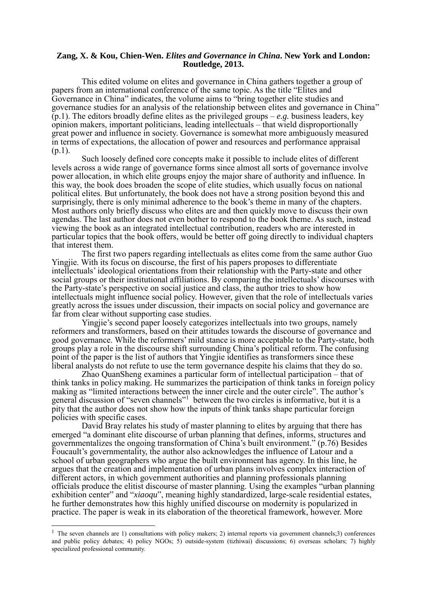## **Zang, X. & Kou, Chien-Wen.** *Elites and Governance in China***. New York and London: Routledge, 2013.**

This edited volume on elites and governance in China gathers together a group of papers from an international conference of the same topic. As the title "Elites and Governance in China" indicates, the volume aims to "bring together elite studies and governance studies for an analysis of the relationship between elites and governance in China"  $(p,1)$ . The editors broadly define elites as the privileged groups – *e.g.* business leaders, key opinion makers, important politicians, leading intellectuals – that wield disproportionally great power and influence in society. Governance is somewhat more ambiguously measured in terms of expectations, the allocation of power and resources and performance appraisal (p.1).

Such loosely defined core concepts make it possible to include elites of different levels across a wide range of governance forms since almost all sorts of governance involve power allocation, in which elite groups enjoy the major share of authority and influence. In this way, the book does broaden the scope of elite studies, which usually focus on national political elites. But unfortunately, the book does not have a strong position beyond this and surprisingly, there is only minimal adherence to the book's theme in many of the chapters. Most authors only briefly discuss who elites are and then quickly move to discuss their own agendas. The last author does not even bother to respond to the book theme. As such, instead viewing the book as an integrated intellectual contribution, readers who are interested in particular topics that the book offers, would be better off going directly to individual chapters that interest them.

The first two papers regarding intellectuals as elites come from the same author Guo Yingjie. With its focus on discourse, the first of his papers proposes to differentiate intellectuals' ideological orientations from their relationship with the Party-state and other social groups or their institutional affiliations. By comparing the intellectuals' discourses with the Party-state's perspective on social justice and class, the author tries to show how intellectuals might influence social policy. However, given that the role of intellectuals varies greatly across the issues under discussion, their impacts on social policy and governance are far from clear without supporting case studies.

Yingjie's second paper loosely categorizes intellectuals into two groups, namely reformers and transformers, based on their attitudes towards the discourse of governance and good governance. While the reformers' mild stance is more acceptable to the Party-state, both groups play a role in the discourse shift surrounding China's political reform. The confusing point of the paper is the list of authors that Yingjie identifies as transformers since these liberal analysts do not refute to use the term governance despite his claims that they do so.

Zhao QuanSheng examines a particular form of intellectual participation – that of think tanks in policy making. He summarizes the participation of think tanks in foreign policy making as "limited interactions between the inner circle and the outer circle". The author's general discussion of "seven channels"<sup>1</sup> between the two circles is informative, but it is a pity that the author does not show how the inputs of think tanks shape particular foreign policies with specific cases.

David Bray relates his study of master planning to elites by arguing that there has emerged "a dominant elite discourse of urban planning that defines, informs, structures and governmentalizes the ongoing transformation of China's built environment." (p.76) Besides Foucault's governmentality, the author also acknowledges the influence of Latour and a school of urban geographers who argue the built environment has agency. In this line, he argues that the creation and implementation of urban plans involves complex interaction of different actors, in which government authorities and planning professionals planning officials produce the elitist discourse of master planning. Using the examples "urban planning exhibition center" and "*xiaoqu*", meaning highly standardized, large-scale residential estates, he further demonstrates how this highly unified discourse on modernity is popularized in practice. The paper is weak in its elaboration of the theoretical framework, however. More

-

<sup>&</sup>lt;sup>1</sup> The seven channels are 1) consultations with policy makers; 2) internal reports via government channels; 3) conferences and public policy debates; 4) policy NGOs; 5) outside-system (tizhiwai) discussions; 6) overseas scholars; 7) highly specialized professional community.